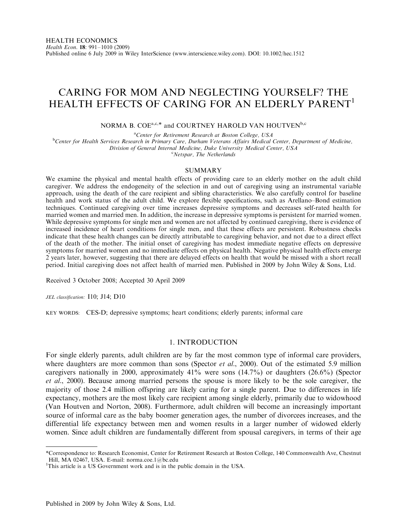# CARING FOR MOM AND NEGLECTING YOURSELF? THE HEALTH EFFECTS OF CARING FOR AN ELDERLY PARENT<sup>1</sup>

NORMA B.  $COE^{a,c,*}$  and COURTNEY HAROLD VAN HOUTVEN<sup>b,c</sup>

<sup>a</sup>Center for Retirement Research at Boston College, USA

<sup>a</sup>Center for Retirement Research at Boston College, USA<br><sup>b</sup>Center for Health Services Research in Primary Care, Durham Veterans Affairs Medical Center, Department of Medicine,

Division of General Internal Medicine, Duke University Medical Center, USA <sup>c</sup>

Netspar, The Netherlands

#### SUMMARY

We examine the physical and mental health effects of providing care to an elderly mother on the adult child caregiver. We address the endogeneity of the selection in and out of caregiving using an instrumental variable approach, using the death of the care recipient and sibling characteristics. We also carefully control for baseline health and work status of the adult child. We explore flexible specifications, such as Arellano–Bond estimation techniques. Continued caregiving over time increases depressive symptoms and decreases self-rated health for married women and married men. In addition, the increase in depressive symptoms is persistent for married women. While depressive symptoms for single men and women are not affected by continued caregiving, there is evidence of increased incidence of heart conditions for single men, and that these effects are persistent. Robustness checks indicate that these health changes can be directly attributable to caregiving behavior, and not due to a direct effect of the death of the mother. The initial onset of caregiving has modest immediate negative effects on depressive symptoms for married women and no immediate effects on physical health. Negative physical health effects emerge 2 years later, however, suggesting that there are delayed effects on health that would be missed with a short recall period. Initial caregiving does not affect health of married men. Published in 2009 by John Wiley & Sons, Ltd.

Received 3 October 2008; Accepted 30 April 2009

JEL classification: I10; J14; D10

KEY WORDS: CES-D; depressive symptoms; heart conditions; elderly parents; informal care

### 1. INTRODUCTION

For single elderly parents, adult children are by far the most common type of informal care providers, where daughters are more common than sons (Spector *et al.*, 2000). Out of the estimated 5.9 million caregivers nationally in 2000, approximately  $41\%$  were sons  $(14.7\%)$  or daughters  $(26.6\%)$  (Spector et al., 2000). Because among married persons the spouse is more likely to be the sole caregiver, the majority of those 2.4 million offspring are likely caring for a single parent. Due to differences in life expectancy, mothers are the most likely care recipient among single elderly, primarily due to widowhood (Van Houtven and Norton, 2008). Furthermore, adult children will become an increasingly important source of informal care as the baby boomer generation ages, the number of divorcees increases, and the differential life expectancy between men and women results in a larger number of widowed elderly women. Since adult children are fundamentally different from spousal caregivers, in terms of their age

\*Correspondence to: Research Economist, Center for Retirement Research at Boston College, 140 Commonwealth Ave, Chestnut Hill, MA 02467, USA. E-mail: norma.coe.1@bc.edu

<sup>&</sup>lt;sup>1</sup>This article is a US Government work and is in the public domain in the USA.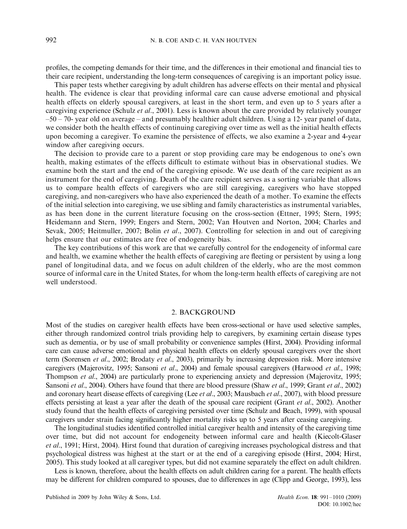profiles, the competing demands for their time, and the differences in their emotional and financial ties to their care recipient, understanding the long-term consequences of caregiving is an important policy issue.

This paper tests whether caregiving by adult children has adverse effects on their mental and physical health. The evidence is clear that providing informal care can cause adverse emotional and physical health effects on elderly spousal caregivers, at least in the short term, and even up to 5 years after a caregiving experience (Schulz *et al.*, 2001). Less is known about the care provided by relatively younger  $-50 - 70$ - year old on average – and presumably healthier adult children. Using a 12- year panel of data, we consider both the health effects of continuing caregiving over time as well as the initial health effects upon becoming a caregiver. To examine the persistence of effects, we also examine a 2-year and 4-year window after caregiving occurs.

The decision to provide care to a parent or stop providing care may be endogenous to one's own health, making estimates of the effects difficult to estimate without bias in observational studies. We examine both the start and the end of the caregiving episode. We use death of the care recipient as an instrument for the end of caregiving. Death of the care recipient serves as a sorting variable that allows us to compare health effects of caregivers who are still caregiving, caregivers who have stopped caregiving, and non-caregivers who have also experienced the death of a mother. To examine the effects of the initial selection into caregiving, we use sibling and family characteristics as instrumental variables, as has been done in the current literature focusing on the cross-section (Ettner, 1995; Stern, 1995; Heidemann and Stern, 1999; Engers and Stern, 2002; Van Houtven and Norton, 2004; Charles and Sevak, 2005; Heitmuller, 2007; Bolin *et al.*, 2007). Controlling for selection in and out of caregiving helps ensure that our estimates are free of endogeneity bias.

The key contributions of this work are that we carefully control for the endogeneity of informal care and health, we examine whether the health effects of caregiving are fleeting or persistent by using a long panel of longitudinal data, and we focus on adult children of the elderly, who are the most common source of informal care in the United States, for whom the long-term health effects of caregiving are not well understood.

### 2. BACKGROUND

Most of the studies on caregiver health effects have been cross-sectional or have used selective samples, either through randomized control trials providing help to caregivers, by examining certain disease types such as dementia, or by use of small probability or convenience samples (Hirst, 2004). Providing informal care can cause adverse emotional and physical health effects on elderly spousal caregivers over the short term (Sorensen et al., 2002; Brodaty et al., 2003), primarily by increasing depression risk. More intensive caregivers (Majerovitz, 1995; Sansoni et al., 2004) and female spousal caregivers (Harwood et al., 1998; Thompson *et al.*, 2004) are particularly prone to experiencing anxiety and depression (Majerovitz, 1995; Sansoni et al., 2004). Others have found that there are blood pressure (Shaw et al., 1999; Grant et al., 2002) and coronary heart disease effects of caregiving (Lee *et al.*, 2003; Mausbach *et al.*, 2007), with blood pressure effects persisting at least a year after the death of the spousal care recipient (Grant et al., 2002). Another study found that the health effects of caregiving persisted over time (Schulz and Beach, 1999), with spousal caregivers under strain facing significantly higher mortality risks up to 5 years after ceasing caregiving.

The longitudinal studies identified controlled initial caregiver health and intensity of the caregiving time over time, but did not account for endogeneity between informal care and health (Kiecolt-Glaser et al., 1991; Hirst, 2004). Hirst found that duration of caregiving increases psychological distress and that psychological distress was highest at the start or at the end of a caregiving episode (Hirst, 2004; Hirst, 2005). This study looked at all caregiver types, but did not examine separately the effect on adult children.

Less is known, therefore, about the health effects on adult children caring for a parent. The health effects may be different for children compared to spouses, due to differences in age (Clipp and George, 1993), less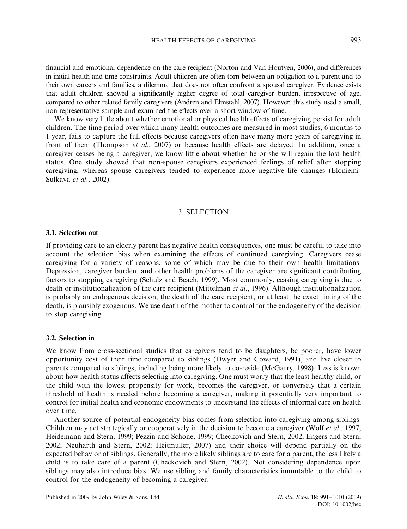financial and emotional dependence on the care recipient (Norton and Van Houtven, 2006), and differences in initial health and time constraints. Adult children are often torn between an obligation to a parent and to their own careers and families, a dilemma that does not often confront a spousal caregiver. Evidence exists that adult children showed a significantly higher degree of total caregiver burden, irrespective of age, compared to other related family caregivers (Andren and Elmstahl, 2007). However, this study used a small, non-representative sample and examined the effects over a short window of time.

We know very little about whether emotional or physical health effects of caregiving persist for adult children. The time period over which many health outcomes are measured in most studies, 6 months to 1 year, fails to capture the full effects because caregivers often have many more years of caregiving in front of them (Thompson et al., 2007) or because health effects are delayed. In addition, once a caregiver ceases being a caregiver, we know little about whether he or she will regain the lost health status. One study showed that non-spouse caregivers experienced feelings of relief after stopping caregiving, whereas spouse caregivers tended to experience more negative life changes (Eloniemi-Sulkava et al., 2002).

### 3. SELECTION

### 3.1. Selection out

If providing care to an elderly parent has negative health consequences, one must be careful to take into account the selection bias when examining the effects of continued caregiving. Caregivers cease caregiving for a variety of reasons, some of which may be due to their own health limitations. Depression, caregiver burden, and other health problems of the caregiver are significant contributing factors to stopping caregiving (Schulz and Beach, 1999). Most commonly, ceasing caregiving is due to death or institutionalization of the care recipient (Mittelman *et al.*, 1996). Although institutionalization is probably an endogenous decision, the death of the care recipient, or at least the exact timing of the death, is plausibly exogenous. We use death of the mother to control for the endogeneity of the decision to stop caregiving.

### 3.2. Selection in

We know from cross-sectional studies that caregivers tend to be daughters, be poorer, have lower opportunity cost of their time compared to siblings (Dwyer and Coward, 1991), and live closer to parents compared to siblings, including being more likely to co-reside (McGarry, 1998). Less is known about how health status affects selecting into caregiving. One must worry that the least healthy child, or the child with the lowest propensity for work, becomes the caregiver, or conversely that a certain threshold of health is needed before becoming a caregiver, making it potentially very important to control for initial health and economic endowments to understand the effects of informal care on health over time.

Another source of potential endogeneity bias comes from selection into caregiving among siblings. Children may act strategically or cooperatively in the decision to become a caregiver (Wolf *et al.*, 1997; Heidemann and Stern, 1999; Pezzin and Schone, 1999; Checkovich and Stern, 2002; Engers and Stern, 2002; Neuharth and Stern, 2002; Heitmuller, 2007) and their choice will depend partially on the expected behavior of siblings. Generally, the more likely siblings are to care for a parent, the less likely a child is to take care of a parent (Checkovich and Stern, 2002). Not considering dependence upon siblings may also introduce bias. We use sibling and family characteristics immutable to the child to control for the endogeneity of becoming a caregiver.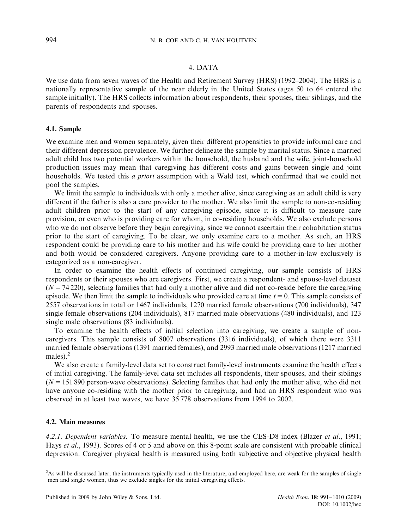## 4. DATA

We use data from seven waves of the Health and Retirement Survey (HRS) (1992–2004). The HRS is a nationally representative sample of the near elderly in the United States (ages 50 to 64 entered the sample initially). The HRS collects information about respondents, their spouses, their siblings, and the parents of respondents and spouses.

### 4.1. Sample

We examine men and women separately, given their different propensities to provide informal care and their different depression prevalence. We further delineate the sample by marital status. Since a married adult child has two potential workers within the household, the husband and the wife, joint-household production issues may mean that caregiving has different costs and gains between single and joint households. We tested this *a priori* assumption with a Wald test, which confirmed that we could not pool the samples.

We limit the sample to individuals with only a mother alive, since caregiving as an adult child is very different if the father is also a care provider to the mother. We also limit the sample to non-co-residing adult children prior to the start of any caregiving episode, since it is difficult to measure care provision, or even who is providing care for whom, in co-residing households. We also exclude persons who we do not observe before they begin caregiving, since we cannot ascertain their cohabitation status prior to the start of caregiving. To be clear, we only examine care to a mother. As such, an HRS respondent could be providing care to his mother and his wife could be providing care to her mother and both would be considered caregivers. Anyone providing care to a mother-in-law exclusively is categorized as a non-caregiver.

In order to examine the health effects of continued caregiving, our sample consists of HRS respondents or their spouses who are caregivers. First, we create a respondent- and spouse-level dataset  $(N = 74220)$ , selecting families that had only a mother alive and did not co-reside before the caregiving episode. We then limit the sample to individuals who provided care at time  $t = 0$ . This sample consists of 2557 observations in total or 1467 individuals, 1270 married female observations (700 individuals), 347 single female observations (204 individuals), 817 married male observations (480 individuals), and 123 single male observations (83 individuals).

To examine the health effects of initial selection into caregiving, we create a sample of noncaregivers. This sample consists of 8007 observations (3316 individuals), of which there were 3311 married female observations (1391 married females), and 2993 married male observations (1217 married males). $<sup>2</sup>$ </sup>

We also create a family-level data set to construct family-level instruments examine the health effects of initial caregiving. The family-level data set includes all respondents, their spouses, and their siblings  $(N = 151890)$  person-wave observations). Selecting families that had only the mother alive, who did not have anyone co-residing with the mother prior to caregiving, and had an HRS respondent who was observed in at least two waves, we have 35 778 observations from 1994 to 2002.

### 4.2. Main measures

4.2.1. Dependent variables. To measure mental health, we use the CES-D8 index (Blazer et al., 1991; Hays et al., 1993). Scores of 4 or 5 and above on this 8-point scale are consistent with probable clinical depression. Caregiver physical health is measured using both subjective and objective physical health

<sup>&</sup>lt;sup>2</sup>As will be discussed later, the instruments typically used in the literature, and employed here, are weak for the samples of single men and single women, thus we exclude singles for the initial caregiving effects.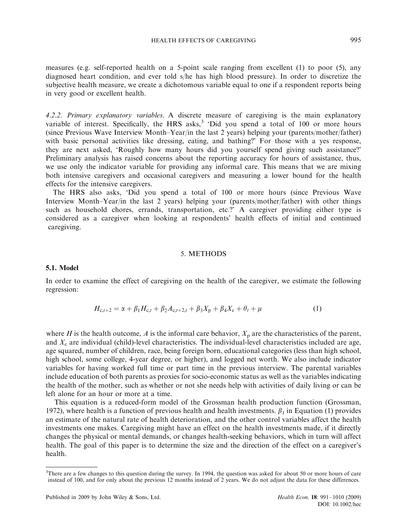measures (e.g. self-reported health on a 5-point scale ranging from excellent (1) to poor (5), any diagnosed heart condition, and ever told s/he has high blood pressure). In order to discretize the subjective health measure, we create a dichotomous variable equal to one if a respondent reports being in very good or excellent health.

4.2.2. Primary explanatory variables. A discrete measure of caregiving is the main explanatory variable of interest. Specifically, the HRS asks, $3 \div$ Did you spend a total of 100 or more hours (since Previous Wave Interview Month–Year/in the last 2 years) helping your (parents/mother/father) with basic personal activities like dressing, eating, and bathing?' For those with a yes response, they are next asked, 'Roughly how many hours did you yourself spend giving such assistance?' Preliminary analysis has raised concerns about the reporting accuracy for hours of assistance, thus, we use only the indicator variable for providing any informal care. This means that we are mixing both intensive caregivers and occasional caregivers and measuring a lower bound for the health effects for the intensive caregivers.

The HRS also asks, 'Did you spend a total of 100 or more hours (since Previous Wave Interview Month–Year/in the last 2 years) helping your (parents/mother/father) with other things such as household chores, errands, transportation, etc.?' A caregiver providing either type is considered as a caregiver when looking at respondents' health effects of initial and continued caregiving.

### 5. METHODS

### 5.1. Model

In order to examine the effect of caregiving on the health of the caregiver, we estimate the following regression:

$$
H_{c,t+2} = \alpha + \beta_1 H_{c,t} + \beta_2 A_{c,t+2,t} + \beta_3 X_p + \beta_4 X_c + \theta_t + \mu
$$
 (1)

where H is the health outcome, A is the informal care behavior,  $X_p$  are the characteristics of the parent, and  $X_c$  are individual (child)-level characteristics. The individual-level characteristics included are age, age squared, number of children, race, being foreign born, educational categories (less than high school, high school, some college, 4-year degree, or higher), and logged net worth. We also include indicator variables for having worked full time or part time in the previous interview. The parental variables include education of both parents as proxies for socio-economic status as well as the variables indicating the health of the mother, such as whether or not she needs help with activities of daily living or can be left alone for an hour or more at a time.

This equation is a reduced-form model of the Grossman health production function (Grossman, 1972), where health is a function of previous health and health investments.  $\beta_1$  in Equation (1) provides an estimate of the natural rate of health deterioration, and the other control variables affect the health investments one makes. Caregiving might have an effect on the health investments made, if it directly changes the physical or mental demands, or changes health-seeking behaviors, which in turn will affect health. The goal of this paper is to determine the size and the direction of the effect on a caregiver's health.

<sup>&</sup>lt;sup>3</sup>There are a few changes to this question during the survey. In 1994, the question was asked for about 50 or more hours of care instead of 100, and for only about the previous 12 months instead of 2 years. We do not adjust the data for these differences.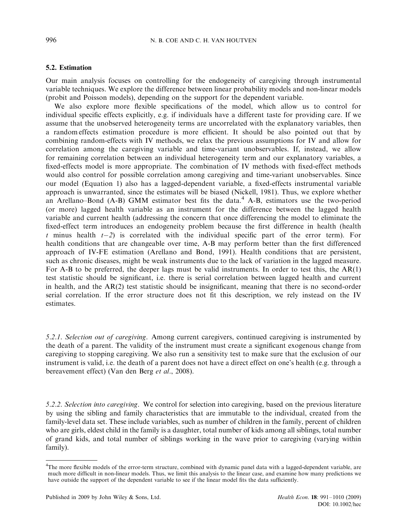### 5.2. Estimation

Our main analysis focuses on controlling for the endogeneity of caregiving through instrumental variable techniques. We explore the difference between linear probability models and non-linear models (probit and Poisson models), depending on the support for the dependent variable.

We also explore more flexible specifications of the model, which allow us to control for individual specific effects explicitly, e.g. if individuals have a different taste for providing care. If we assume that the unobserved heterogeneity terms are uncorrelated with the explanatory variables, then a random effects estimation procedure is more efficient. It should be also pointed out that by combining random-effects with IV methods, we relax the previous assumptions for IV and allow for correlation among the caregiving variable and time-variant unobservables. If, instead, we allow for remaining correlation between an individual heterogeneity term and our explanatory variables, a fixed-effects model is more appropriate. The combination of IV methods with fixed-effect methods would also control for possible correlation among caregiving and time-variant unobservables. Since our model (Equation 1) also has a lagged-dependent variable, a fixed-effects instrumental variable approach is unwarranted, since the estimates will be biased (Nickell, 1981). Thus, we explore whether an Arellano–Bond (A-B) GMM estimator best fits the data.<sup>4</sup> A-B, estimators use the two-period (or more) lagged health variable as an instrument for the difference between the lagged health variable and current health (addressing the concern that once differencing the model to eliminate the fixed-effect term introduces an endogeneity problem because the first difference in health (health t minus health  $t-2$ ) is correlated with the individual specific part of the error term). For health conditions that are changeable over time, A-B may perform better than the first differenced approach of IV-FE estimation (Arellano and Bond, 1991). Health conditions that are persistent, such as chronic diseases, might be weak instruments due to the lack of variation in the lagged measure. For A-B to be preferred, the deeper lags must be valid instruments. In order to test this, the AR(1) test statistic should be significant, i.e. there is serial correlation between lagged health and current in health, and the AR(2) test statistic should be insignificant, meaning that there is no second-order serial correlation. If the error structure does not fit this description, we rely instead on the IV estimates.

5.2.1. Selection out of caregiving. Among current caregivers, continued caregiving is instrumented by the death of a parent. The validity of the instrument must create a significant exogenous change from caregiving to stopping caregiving. We also run a sensitivity test to make sure that the exclusion of our instrument is valid, i.e. the death of a parent does not have a direct effect on one's health (e.g. through a bereavement effect) (Van den Berg et al., 2008).

5.2.2. Selection into caregiving. We control for selection into caregiving, based on the previous literature by using the sibling and family characteristics that are immutable to the individual, created from the family-level data set. These include variables, such as number of children in the family, percent of children who are girls, eldest child in the family is a daughter, total number of kids among all siblings, total number of grand kids, and total number of siblings working in the wave prior to caregiving (varying within family).

<sup>4</sup> The more flexible models of the error-term structure, combined with dynamic panel data with a lagged-dependent variable, are much more difficult in non-linear models. Thus, we limit this analysis to the linear case, and examine how many predictions we have outside the support of the dependent variable to see if the linear model fits the data sufficiently.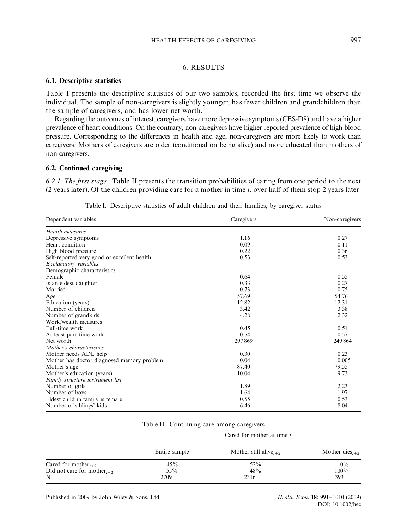# HEALTH EFFECTS OF CAREGIVING 997

## 6. RESULTS

### 6.1. Descriptive statistics

Table I presents the descriptive statistics of our two samples, recorded the first time we observe the individual. The sample of non-caregivers is slightly younger, has fewer children and grandchildren than the sample of caregivers, and has lower net worth.

Regarding the outcomes of interest, caregivers have more depressive symptoms (CES-D8) and have a higher prevalence of heart conditions. On the contrary, non-caregivers have higher reported prevalence of high blood pressure. Corresponding to the differences in health and age, non-caregivers are more likely to work than caregivers. Mothers of caregivers are older (conditional on being alive) and more educated than mothers of non-caregivers.

## 6.2. Continued caregiving

6.2.1. The first stage. Table II presents the transition probabilities of caring from one period to the next (2 years later). Of the children providing care for a mother in time  $t$ , over half of them stop 2 years later.

| Dependent variables                         | Caregivers | Non-caregivers |
|---------------------------------------------|------------|----------------|
| Health measures                             |            |                |
| Depressive symptoms                         | 1.16       | 0.27           |
| Heart condition                             | 0.09       | 0.11           |
| High blood pressure                         | 0.22       | 0.36           |
| Self-reported very good or excellent health | 0.53       | 0.53           |
| Explanatory variables                       |            |                |
| Demographic characteristics                 |            |                |
| Female                                      | 0.64       | 0.55           |
| Is an eldest daughter                       | 0.33       | 0.27           |
| Married                                     | 0.73       | 0.75           |
| Age                                         | 57.69      | 54.76          |
| Education (years)                           | 12.82      | 12.31          |
| Number of children                          | 3.42       | 3.38           |
| Number of grandkids                         | 4.28       | 2.32           |
| Work/wealth measures                        |            |                |
| Full-time work                              | 0.45       | 0.51           |
| At least part-time work                     | 0.54       | 0.57           |
| Net worth                                   | 297869     | 249864         |
| Mother's characteristics                    |            |                |
| Mother needs ADL help                       | 0.30       | 0.23           |
| Mother has doctor diagnosed memory problem  | 0.04       | 0.005          |
| Mother's age                                | 87.40      | 79.55          |
| Mother's education (years)                  | 10.04      | 9.73           |
| Family structure instrument list            |            |                |
| Number of girls                             | 1.89       | 2.23           |
| Number of boys                              | 1.64       | 1.97           |
| Eldest child in family is female            | 0.55       | 0.53           |
| Number of siblings' kids                    | 6.46       | 8.04           |

Table I. Descriptive statistics of adult children and their families, by caregiver status

| Table II. Continuing care among caregivers |  |  |
|--------------------------------------------|--|--|
|                                            |  |  |
|                                            |  |  |

|                                                     |               | Cared for mother at time t                     |                                         |
|-----------------------------------------------------|---------------|------------------------------------------------|-----------------------------------------|
|                                                     | Entire sample | Mother still alive <sub><math>t+2</math></sub> | Mother dies <sub><math>t+2</math></sub> |
| Cared for mother <sub><math>t+2</math></sub>        | 45%           | $52\%$                                         | $0\%$                                   |
| Did not care for mother <sub><math>t+2</math></sub> | $55\%$        | 48%                                            | $100\%$                                 |
| N                                                   | 2709          | 2316                                           | 393                                     |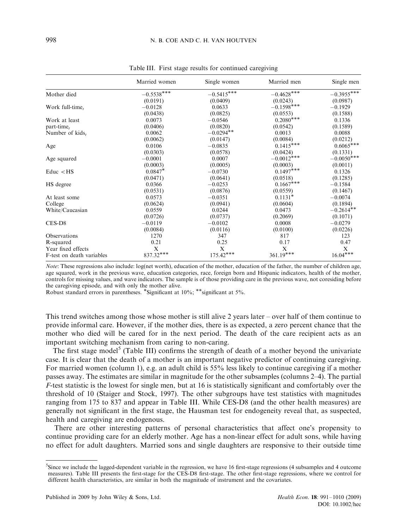|                           | Married women | Single women | Married men    | Single men   |
|---------------------------|---------------|--------------|----------------|--------------|
| Mother died               | $-0.5538***$  | $-0.5415***$ | $-0.4628***$   | $-0.3955***$ |
|                           | (0.0191)      | (0.0409)     | (0.0243)       | (0.0987)     |
| Work full-time,           | $-0.0128$     | 0.0633       | $-0.1598***$   | $-0.1929$    |
|                           | (0.0438)      | (0.0825)     | (0.0553)       | (0.1588)     |
| Work at least             | 0.0073        | $-0.0546$    | $0.2080^{***}$ | 0.1336       |
| $part-timet$              | (0.0406)      | (0.0820)     | (0.0542)       | (0.1589)     |
| Number of kids,           | 0.0062        | $-0.0294**$  | 0.0013         | 0.0088       |
|                           | (0.0062)      | (0.0147)     | (0.0084)       | (0.0212)     |
| Age                       | 0.0106        | $-0.0835$    | $0.1415***$    | $0.6065***$  |
|                           | (0.0303)      | (0.0578)     | (0.0424)       | (0.1331)     |
| Age squared               | $-0.0001$     | 0.0007       | $-0.0012***$   | $-0.0050***$ |
|                           | (0.0003)      | (0.0005)     | (0.0003)       | (0.0011)     |
| $Educ <$ HS               | $0.0847*$     | $-0.0730$    | $0.1497***$    | 0.1326       |
|                           | (0.0471)      | (0.0641)     | (0.0518)       | (0.1285)     |
| HS degree                 | 0.0366        | $-0.0253$    | $0.1667***$    | $-0.1584$    |
|                           | (0.0531)      | (0.0876)     | (0.0559)       | (0.1467)     |
| At least some             | 0.0573        | $-0.0351$    | $0.1131*$      | $-0.0074$    |
| College                   | (0.0624)      | (0.0941)     | (0.0604)       | (0.1894)     |
| White/Caucasian           | 0.0559        | 0.0244       | 0.0473         | $-0.2614**$  |
|                           | (0.0726)      | (0.0737)     | (0.2069)       | (0.1071)     |
| CES-D8                    | $-0.0119$     | $-0.0102$    | 0.0008         | $-0.0279$    |
|                           | (0.0084)      | (0.0116)     | (0.0100)       | (0.0226)     |
| <b>Observations</b>       | 1270          | 347          | 817            | 123          |
| R-squared                 | 0.21          | 0.25         | 0.17           | 0.47         |
| Year fixed effects        | X             | X            | X              | X            |
| F-test on death variables | $837.32***$   | $175.42***$  | $361.19***$    | $16.04***$   |

Table III. First stage results for continued caregiving

Note: These regressions also include: log(net worth), education of the mother, education of the father, the number of children age, age squared, work in the previous wave, education categories, race, foreign born and Hispanic indicators, health of the mother, controls for missing values, and wave indicators. The sample is of those providing care in the previous wave, not coresiding before the caregiving episode, and with only the mother alive.

Robust standard errors in parentheses. \*Significant at 10%; \*\*significant at 5%.

This trend switches among those whose mother is still alive 2 years later – over half of them continue to provide informal care. However, if the mother dies, there is as expected, a zero percent chance that the mother who died will be cared for in the next period. The death of the care recipient acts as an important switching mechanism from caring to non-caring.

The first stage model<sup>5</sup> (Table III) confirms the strength of death of a mother beyond the univariate case. It is clear that the death of a mother is an important negative predictor of continuing caregiving. For married women (column 1), e.g. an adult child is 55% less likely to continue caregiving if a mother passes away. The estimates are similar in magnitude for the other subsamples (columns 2–4). The partial F-test statistic is the lowest for single men, but at 16 is statistically significant and comfortably over the threshold of 10 (Staiger and Stock, 1997). The other subgroups have test statistics with magnitudes ranging from 175 to 837 and appear in Table III. While CES-D8 (and the other health measures) are generally not significant in the first stage, the Hausman test for endogeneity reveal that, as suspected, health and caregiving are endogenous.

There are other interesting patterns of personal characteristics that affect one's propensity to continue providing care for an elderly mother. Age has a non-linear effect for adult sons, while having no effect for adult daughters. Married sons and single daughters are responsive to their outside time

<sup>5</sup> Since we include the lagged-dependent variable in the regression, we have 16 first-stage regressions (4 subsamples and 4 outcome measures). Table III presents the first-stage for the CES-D8 first-stage. The other first-stage regressions, where we control for different health characteristics, are similar in both the magnitude of instrument and the covariates.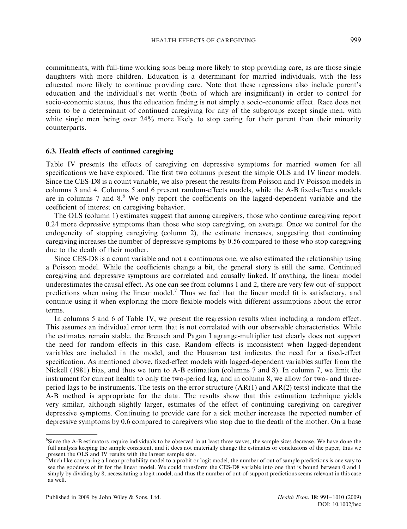commitments, with full-time working sons being more likely to stop providing care, as are those single daughters with more children. Education is a determinant for married individuals, with the less educated more likely to continue providing care. Note that these regressions also include parent's education and the individual's net worth (both of which are insignificant) in order to control for socio-economic status, thus the education finding is not simply a socio-economic effect. Race does not seem to be a determinant of continued caregiving for any of the subgroups except single men, with white single men being over 24% more likely to stop caring for their parent than their minority counterparts.

### 6.3. Health effects of continued caregiving

Table IV presents the effects of caregiving on depressive symptoms for married women for all specifications we have explored. The first two columns present the simple OLS and IV linear models. Since the CES-D8 is a count variable, we also present the results from Poisson and IV Poisson models in columns 3 and 4. Columns 5 and 6 present random-effects models, while the A-B fixed-effects models are in columns 7 and  $8<sup>6</sup>$  We only report the coefficients on the lagged-dependent variable and the coefficient of interest on caregiving behavior.

The OLS (column 1) estimates suggest that among caregivers, those who continue caregiving report 0.24 more depressive symptoms than those who stop caregiving, on average. Once we control for the endogeneity of stopping caregiving (column 2), the estimate increases, suggesting that continuing caregiving increases the number of depressive symptoms by 0.56 compared to those who stop caregiving due to the death of their mother.

Since CES-D8 is a count variable and not a continuous one, we also estimated the relationship using a Poisson model. While the coefficients change a bit, the general story is still the same. Continued caregiving and depressive symptoms are correlated and causally linked. If anything, the linear model underestimates the causal effect. As one can see from columns 1 and 2, there are very few out-of-support predictions when using the linear model.<sup>7</sup> Thus we feel that the linear model fit is satisfactory, and continue using it when exploring the more flexible models with different assumptions about the error terms.

In columns 5 and 6 of Table IV, we present the regression results when including a random effect. This assumes an individual error term that is not correlated with our observable characteristics. While the estimates remain stable, the Breusch and Pagan Lagrange-multiplier test clearly does not support the need for random effects in this case. Random effects is inconsistent when lagged-dependent variables are included in the model, and the Hausman test indicates the need for a fixed-effect specification. As mentioned above, fixed-effect models with lagged-dependent variables suffer from the Nickell (1981) bias, and thus we turn to A-B estimation (columns 7 and 8). In column 7, we limit the instrument for current health to only the two-period lag, and in column 8, we allow for two- and threeperiod lags to be instruments. The tests on the error structure  $(AR(1)$  and  $AR(2)$  tests) indicate that the A-B method is appropriate for the data. The results show that this estimation technique yields very similar, although slightly larger, estimates of the effect of continuing caregiving on caregiver depressive symptoms. Continuing to provide care for a sick mother increases the reported number of depressive symptoms by 0.6 compared to caregivers who stop due to the death of the mother. On a base

<sup>6</sup> Since the A-B estimators require individuals to be observed in at least three waves, the sample sizes decrease. We have done the full analysis keeping the sample consistent, and it does not materially change the estimates or conclusions of the paper, thus we

present the OLS and IV results with the largest sample size.<br><sup>7</sup>Much like comparing a linear probability model to a probit or logit model, the number of out of sample predictions is one way to see the goodness of fit for the linear model. We could transform the CES-D8 variable into one that is bound between 0 and 1 simply by dividing by 8, necessitating a logit model, and thus the number of out-of-support predictions seems relevant in this case as well.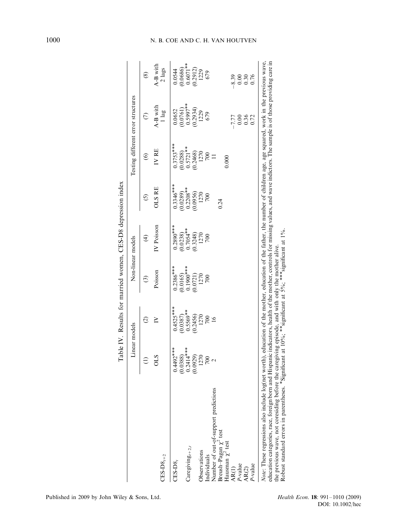|                                                                                                                                                                                                                                                                                                                                                                                                                                                                                                                                                                                        |                         |                         |                         | Table IV. Results for married women, CES-D8 depression index |                         |                         |                                    |                                             |
|----------------------------------------------------------------------------------------------------------------------------------------------------------------------------------------------------------------------------------------------------------------------------------------------------------------------------------------------------------------------------------------------------------------------------------------------------------------------------------------------------------------------------------------------------------------------------------------|-------------------------|-------------------------|-------------------------|--------------------------------------------------------------|-------------------------|-------------------------|------------------------------------|---------------------------------------------|
|                                                                                                                                                                                                                                                                                                                                                                                                                                                                                                                                                                                        | Linear models           |                         |                         | Non-linear models                                            |                         |                         | Testing different error structures |                                             |
|                                                                                                                                                                                                                                                                                                                                                                                                                                                                                                                                                                                        |                         | $\widehat{\circ}$       | ⊙                       | ⊕                                                            | ⊙                       | $\circledcirc$          |                                    | $\circledast$                               |
| $CES-DS_{t+2}$                                                                                                                                                                                                                                                                                                                                                                                                                                                                                                                                                                         | STO                     | ≧                       | Poisson                 | IV Poisson                                                   | <b>OLS RE</b>           | IV RE                   | A-B with<br>l lag                  | A-B with<br>$2$ lags                        |
| $CES-D8$                                                                                                                                                                                                                                                                                                                                                                                                                                                                                                                                                                               | $0.4492***$             | $0.4525***$             | $0.2386***$             | $0.2890***$                                                  | $0.3346***$             | $0.3753***$             | 0.0652                             | 0.0544                                      |
| Caregiving $_{t+2,t}$                                                                                                                                                                                                                                                                                                                                                                                                                                                                                                                                                                  | $0.2414***$<br>(9.0388) | $0.5569***$<br>(0.0387) | $0.1900***$<br>(0.0165) | $(0.0238)$<br>0.7054**                                       | $0.2208***$<br>(0.0289) | $0.5721***$<br>(0.0288) | $0.5997***$<br>(0.0761)            | $0.6071***$<br>(0.0686)                     |
|                                                                                                                                                                                                                                                                                                                                                                                                                                                                                                                                                                                        | (0.0929)                | (0.2456)                | (0.0721)                | (0.3248)                                                     | (0.0956)                | (0.2468)                | $(0.2934)$<br>1229                 | $(0.2912)$<br>$1229$                        |
| <b>Observations</b>                                                                                                                                                                                                                                                                                                                                                                                                                                                                                                                                                                    | 1270                    | 1270                    | 1270                    | 1270                                                         | 1270                    | 1270                    |                                    |                                             |
| Individuals                                                                                                                                                                                                                                                                                                                                                                                                                                                                                                                                                                            | 700                     | 700                     | 700                     | 700                                                          | 700                     | 700                     | 679                                | 679                                         |
| Number of out-of-support predictions                                                                                                                                                                                                                                                                                                                                                                                                                                                                                                                                                   | $\mathbf{\sim}$         | $\overline{16}$         |                         |                                                              |                         |                         |                                    |                                             |
| Breush-Pagan $\chi^2$ test                                                                                                                                                                                                                                                                                                                                                                                                                                                                                                                                                             |                         |                         |                         |                                                              | 0.24                    |                         |                                    |                                             |
|                                                                                                                                                                                                                                                                                                                                                                                                                                                                                                                                                                                        |                         |                         |                         |                                                              |                         | 0.000                   |                                    |                                             |
|                                                                                                                                                                                                                                                                                                                                                                                                                                                                                                                                                                                        |                         |                         |                         |                                                              |                         |                         | $-7.77$                            | $-8.39$                                     |
|                                                                                                                                                                                                                                                                                                                                                                                                                                                                                                                                                                                        |                         |                         |                         |                                                              |                         |                         | $0.00\,$                           | $\begin{array}{c} 0.00 \\ 0.30 \end{array}$ |
| Hausman $\chi^2$ test<br>AR(1)<br>P-value<br>AR(2)                                                                                                                                                                                                                                                                                                                                                                                                                                                                                                                                     |                         |                         |                         |                                                              |                         |                         | 0.36                               |                                             |
| <sup>2</sup> -value                                                                                                                                                                                                                                                                                                                                                                                                                                                                                                                                                                    |                         |                         |                         |                                                              |                         |                         | 0.72                               | 0.76                                        |
| Note: These regressions also include log(net worth), education of the mother, education of the father, the number of children age, age squared, work in the previous wave,<br>education categories, race, foreign born and Hispanic indicators, health of the mother, controls for missing values, and wave indictors. The sample is of those providing care in<br>the previous wave, not coresiding before the caregiving episode, and with only the mother alive.<br>Robust standard errors in parentheses. *Significant at $10\%$ ; ***significant at $5\%$ ; ***significant at 1%. |                         |                         |                         |                                                              |                         |                         |                                    |                                             |

# 1000 N. B. COE AND C. H. VAN HOUTVEN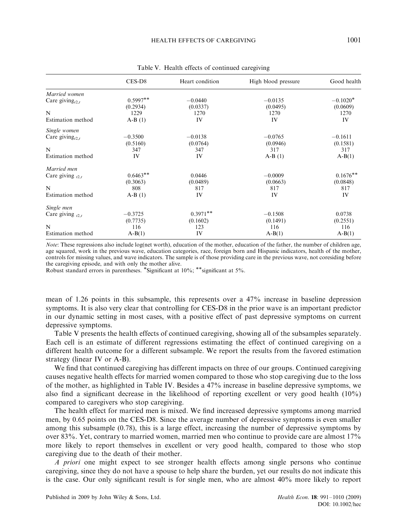|                                            | $CES-D8$   | Heart condition | High blood pressure | Good health |
|--------------------------------------------|------------|-----------------|---------------------|-------------|
| Married women                              |            |                 |                     |             |
| Care giving <sub><math>(2, t)</math></sub> | $0.5997**$ | $-0.0440$       | $-0.0135$           | $-0.1020*$  |
|                                            | (0.2934)   | (0.0337)        | (0.0495)            | (0.0609)    |
| N                                          | 1229       | 1270            | 1270                | 1270        |
| Estimation method                          | $A-B(1)$   | IV              | IV                  | IV          |
| Single women                               |            |                 |                     |             |
| Care giving <sub><math>(2,1)</math></sub>  | $-0.3500$  | $-0.0138$       | $-0.0765$           | $-0.1611$   |
|                                            | (0.5160)   | (0.0764)        | (0.0946)            | (0.1581)    |
| N                                          | 347        | 347             | 317                 | 317         |
| Estimation method                          | IV         | IV              | $A-B(1)$            | $A-B(1)$    |
| Married men                                |            |                 |                     |             |
| Care giving $_{t2,t}$                      | $0.6463**$ | 0.0446          | $-0.0009$           | $0.1676***$ |
|                                            | (0.3063)   | (0.0489)        | (0.0663)            | (0.0848)    |
| N                                          | 808        | 817             | 817                 | 817         |
| Estimation method                          | $A-B(1)$   | IV              | IV                  | IV          |
| Single men                                 |            |                 |                     |             |
| Care giving $_{12.1}$                      | $-0.3725$  | $0.3971**$      | $-0.1508$           | 0.0738      |
|                                            | (0.7735)   | (0.1602)        | (0.1491)            | (0.2551)    |
| N                                          | 116        | 123             | 116                 | 116         |
| Estimation method                          | $A-B(1)$   | IV              | $A-B(1)$            | $A-B(1)$    |

Table V. Health effects of continued caregiving

Note: These regressions also include log(net worth), education of the mother, education of the father, the number of children age, age squared, work in the previous wave, education categories, race, foreign born and Hispanic indicators, health of the mother, controls for missing values, and wave indicators. The sample is of those providing care in the previous wave, not coresiding before the caregiving episode, and with only the mother alive.

Robust standard errors in parentheses. \*Significant at 10%; \*\*significant at 5%.

mean of 1.26 points in this subsample, this represents over a 47% increase in baseline depression symptoms. It is also very clear that controlling for CES-D8 in the prior wave is an important predictor in our dynamic setting in most cases, with a positive effect of past depressive symptoms on current depressive symptoms.

Table V presents the health effects of continued caregiving, showing all of the subsamples separately. Each cell is an estimate of different regressions estimating the effect of continued caregiving on a different health outcome for a different subsample. We report the results from the favored estimation strategy (linear IV or A-B).

We find that continued caregiving has different impacts on three of our groups. Continued caregiving causes negative health effects for married women compared to those who stop caregiving due to the loss of the mother, as highlighted in Table IV. Besides a 47% increase in baseline depressive symptoms, we also find a significant decrease in the likelihood of reporting excellent or very good health (10%) compared to caregivers who stop caregiving.

The health effect for married men is mixed. We find increased depressive symptoms among married men, by 0.65 points on the CES-D8. Since the average number of depressive symptoms is even smaller among this subsample (0.78), this is a large effect, increasing the number of depressive symptoms by over 83%. Yet, contrary to married women, married men who continue to provide care are almost 17% more likely to report themselves in excellent or very good health, compared to those who stop caregiving due to the death of their mother.

A priori one might expect to see stronger health effects among single persons who continue caregiving, since they do not have a spouse to help share the burden, yet our results do not indicate this is the case. Our only significant result is for single men, who are almost 40% more likely to report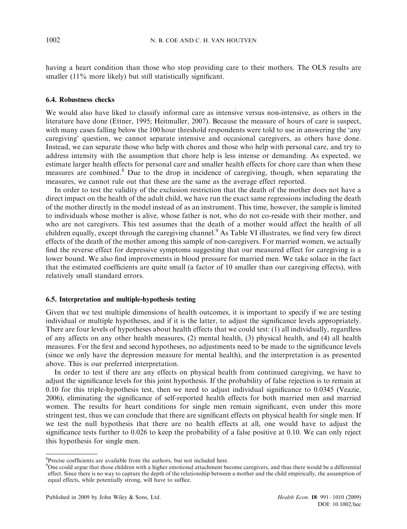having a heart condition than those who stop providing care to their mothers. The OLS results are smaller (11% more likely) but still statistically significant.

### 6.4. Robustness checks

We would also have liked to classify informal care as intensive versus non-intensive, as others in the literature have done (Ettner, 1995; Heitmuller, 2007). Because the measure of hours of care is suspect, with many cases falling below the 100 hour threshold respondents were told to use in answering the 'any caregiving' question, we cannot separate intensive and occasional caregivers, as others have done. Instead, we can separate those who help with chores and those who help with personal care, and try to address intensity with the assumption that chore help is less intense or demanding. As expected, we estimate larger health effects for personal care and smaller health effects for chore care than when these measures are combined.<sup>8</sup> Due to the drop in incidence of caregiving, though, when separating the measures, we cannot rule out that these are the same as the average effect reported.

In order to test the validity of the exclusion restriction that the death of the mother does not have a direct impact on the health of the adult child, we have run the exact same regressions including the death of the mother directly in the model instead of as an instrument. This time, however, the sample is limited to individuals whose mother is alive, whose father is not, who do not co-reside with their mother, and who are not caregivers. This test assumes that the death of a mother would affect the health of all children equally, except through the caregiving channel.<sup>9</sup> As Table VI illustrates, we find very few direct effects of the death of the mother among this sample of non-caregivers. For married women, we actually find the reverse effect for depressive symptoms suggesting that our measured effect for caregiving is a lower bound. We also find improvements in blood pressure for married men. We take solace in the fact that the estimated coefficients are quite small (a factor of 10 smaller than our caregiving effects), with relatively small standard errors.

#### 6.5. Interpretation and multiple-hypothesis testing

Given that we test multiple dimensions of health outcomes, it is important to specify if we are testing individual or multiple hypotheses, and if it is the latter, to adjust the significance levels appropriately. There are four levels of hypotheses about health effects that we could test: (1) all individually, regardless of any affects on any other health measures, (2) mental health, (3) physical health, and (4) all health measures. For the first and second hypotheses, no adjustments need to be made to the significance levels (since we only have the depression measure for mental health), and the interpretation is as presented above. This is our preferred interpretation.

In order to test if there are any effects on physical health from continued caregiving, we have to adjust the significance levels for this joint hypothesis. If the probability of false rejection is to remain at 0.10 for this triple-hypothesis test, then we need to adjust individual significance to 0.0345 (Veazie, 2006), eliminating the significance of self-reported health effects for both married men and married women. The results for heart conditions for single men remain significant, even under this more stringent test, thus we can conclude that there are significant effects on physical health for single men. If we test the null hypothesis that there are no health effects at all, one would have to adjust the significance tests further to 0.026 to keep the probability of a false positive at 0.10. We can only reject this hypothesis for single men.

<sup>&</sup>lt;sup>8</sup>Precise coefficients are available from the authors, but not included here.

<sup>&</sup>lt;sup>9</sup>One could argue that those children with a higher emotional attachment become caregivers, and thus there would be a differential effect. Since there is no way to capture the depth of the relationship between a mother and the child empirically, the assumption of equal effects, while potentially strong, will have to suffice.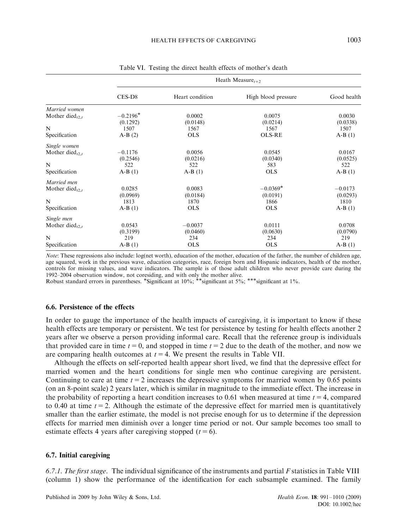|                                            |            | Heath Measure <sub><math>t+2</math></sub> |                     |             |
|--------------------------------------------|------------|-------------------------------------------|---------------------|-------------|
|                                            | $CES-D8$   | Heart condition                           | High blood pressure | Good health |
| Married women                              |            |                                           |                     |             |
| Mother died <sub><math>(2, t)</math></sub> | $-0.2196*$ | 0.0002                                    | 0.0075              | 0.0030      |
|                                            | (0.1292)   | (0.0148)                                  | (0.0214)            | (0.0338)    |
| N                                          | 1507       | 1567                                      | 1567                | 1507        |
| Specification                              | $A-B(2)$   | <b>OLS</b>                                | <b>OLS-RE</b>       | $A-B(1)$    |
| Single women                               |            |                                           |                     |             |
| Mother died <sub><math>Ot</math></sub>     | $-0.1176$  | 0.0056                                    | 0.0545              | 0.0167      |
|                                            | (0.2546)   | (0.0216)                                  | (0.0340)            | (0.0525)    |
| N                                          | 522        | 522                                       | 583                 | 522         |
| Specification                              | $A-B(1)$   | $A-B(1)$                                  | <b>OLS</b>          | $A-B(1)$    |
| Married men                                |            |                                           |                     |             |
| Mother died <sub><math>(2, t)</math></sub> | 0.0285     | 0.0083                                    | $-0.0369*$          | $-0.0173$   |
|                                            | (0.0969)   | (0.0184)                                  | (0.0191)            | (0.0293)    |
| N                                          | 1813       | 1870                                      | 1866                | 1810        |
| Specification                              | $A-B(1)$   | <b>OLS</b>                                | <b>OLS</b>          | $A-B(1)$    |
| Single men                                 |            |                                           |                     |             |
| Mother died $_{t2,t}$                      | 0.0543     | $-0.0037$                                 | 0.0111              | 0.0708      |
|                                            | (0.3199)   | (0.0460)                                  | (0.0630)            | (0.0790)    |
| N                                          | 219        | 234                                       | 234                 | 219         |
| Specification                              | $A-B(1)$   | <b>OLS</b>                                | <b>OLS</b>          | $A-B(1)$    |

Table VI. Testing the direct health effects of mother's death

Note: These regressions also include: log(net worth), education of the mother, education of the father, the number of children age, age squared, work in the previous wave, education categories, race, foreign born and Hispanic indicators, health of the mother, controls for missing values, and wave indicators. The sample is of those adult children who never provide care during the

1992–2004 observation window, not coresiding, and with only the mother alive.<br>Robust standard errors in parentheses. \*Significant at 10%; \*\*significant at 5%; \*\*\*significant at 1%.

### 6.6. Persistence of the effects

In order to gauge the importance of the health impacts of caregiving, it is important to know if these health effects are temporary or persistent. We test for persistence by testing for health effects another 2 years after we observe a person providing informal care. Recall that the reference group is individuals that provided care in time  $t = 0$ , and stopped in time  $t = 2$  due to the death of the mother, and now we are comparing health outcomes at  $t = 4$ . We present the results in Table VII.

Although the effects on self-reported health appear short lived, we find that the depressive effect for married women and the heart conditions for single men who continue caregiving are persistent. Continuing to care at time  $t = 2$  increases the depressive symptoms for married women by 0.65 points (on an 8-point scale) 2 years later, which is similar in magnitude to the immediate effect. The increase in the probability of reporting a heart condition increases to 0.61 when measured at time  $t = 4$ , compared to 0.40 at time  $t = 2$ . Although the estimate of the depressive effect for married men is quantitatively smaller than the earlier estimate, the model is not precise enough for us to determine if the depression effects for married men diminish over a longer time period or not. Our sample becomes too small to estimate effects 4 years after caregiving stopped  $(t = 6)$ .

### 6.7. Initial caregiving

6.7.1. The first stage. The individual significance of the instruments and partial  $F$  statistics in Table VIII (column 1) show the performance of the identification for each subsample examined. The family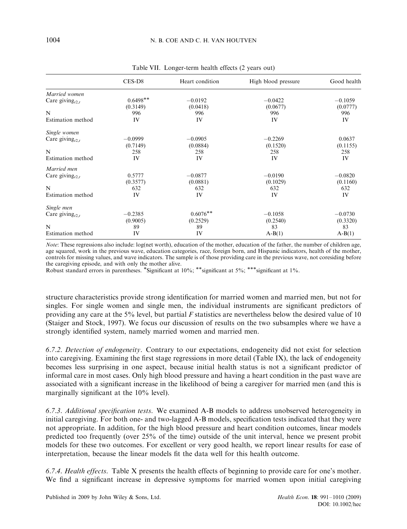|                                            | $CES-D8$   | Heart condition | High blood pressure | Good health |
|--------------------------------------------|------------|-----------------|---------------------|-------------|
| Married women                              |            |                 |                     |             |
| Care giving <sub><math>(2, t)</math></sub> | $0.6498**$ | $-0.0192$       | $-0.0422$           | $-0.1059$   |
|                                            | (0.3149)   | (0.0418)        | (0.0677)            | (0.0777)    |
| N                                          | 996        | 996             | 996                 | 996         |
| Estimation method                          | IV         | IV              | IV                  | IV          |
| Single women                               |            |                 |                     |             |
| Care giving <sub><math>(2, t)</math></sub> | $-0.0999$  | $-0.0905$       | $-0.2269$           | 0.0637      |
|                                            | (0.7149)   | (0.0884)        | (0.1520)            | (0.1155)    |
| N                                          | 258        | 258             | 258                 | 258         |
| Estimation method                          | IV         | IV              | IV                  | IV          |
| Married men                                |            |                 |                     |             |
| Care giving <sub><math>t2,t</math></sub>   | 0.5777     | $-0.0877$       | $-0.0190$           | $-0.0820$   |
|                                            | (0.3577)   | (0.0881)        | (0.1029)            | (0.1160)    |
| N                                          | 632        | 632             | 632                 | 632         |
| Estimation method                          | IV         | IV              | IV                  | IV          |
| Single men                                 |            |                 |                     |             |
| Care giving <sub><math>t2,t</math></sub>   | $-0.2385$  | $0.6076**$      | $-0.1058$           | $-0.0730$   |
|                                            | (0.9005)   | (0.2529)        | (0.2540)            | (0.3320)    |
| N                                          | 89         | 89              | 83                  | 83          |

Table VII. Longer-term health effects (2 years out)

Note: These regressions also include: log(net worth), education of the mother, education of the father, the number of children age, age squared, work in the previous wave, education categories, race, foreign born, and Hispanic indicators, health of the mother, controls for missing values, and wave indicators. The sample is of those providing care in the previous wave, not coresiding before the caregiving episode, and with only the mother alive.

Estimation method IV IV A-B(1) A-B(1) A-B(1)

Robust standard errors in parentheses. \*Significant at 10%; \*\*significant at 5%; \*\*\*significant at 1%.

structure characteristics provide strong identification for married women and married men, but not for singles. For single women and single men, the individual instruments are significant predictors of providing any care at the 5% level, but partial F statistics are nevertheless below the desired value of 10 (Staiger and Stock, 1997). We focus our discussion of results on the two subsamples where we have a strongly identified system, namely married women and married men.

6.7.2. Detection of endogeneity. Contrary to our expectations, endogeneity did not exist for selection into caregiving. Examining the first stage regressions in more detail (Table IX), the lack of endogeneity becomes less surprising in one aspect, because initial health status is not a significant predictor of informal care in most cases. Only high blood pressure and having a heart condition in the past wave are associated with a significant increase in the likelihood of being a caregiver for married men (and this is marginally significant at the 10% level).

6.7.3. Additional specification tests. We examined A-B models to address unobserved heterogeneity in initial caregiving. For both one- and two-lagged A-B models, specification tests indicated that they were not appropriate. In addition, for the high blood pressure and heart condition outcomes, linear models predicted too frequently (over 25% of the time) outside of the unit interval, hence we present probit models for these two outcomes. For excellent or very good health, we report linear results for ease of interpretation, because the linear models fit the data well for this health outcome.

6.7.4. Health effects. Table X presents the health effects of beginning to provide care for one's mother. We find a significant increase in depressive symptoms for married women upon initial caregiving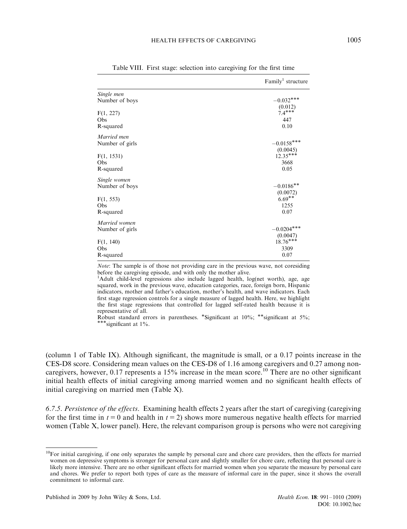|                                  | Family <sup>1</sup> structure          |
|----------------------------------|----------------------------------------|
| Single men<br>Number of boys     | $-0.032***$                            |
| F(1, 227)                        | (0.012)<br>$7.4***$                    |
| Obs                              | 447                                    |
| R-squared                        | 0.10                                   |
| Married men                      | $-0.0158***$                           |
| Number of girls                  | (0.0045)                               |
| F(1, 1531)                       | $12.35***$                             |
| Obs                              | 3668                                   |
| R-squared                        | 0.05                                   |
| Single women                     | $-0.0186**$                            |
| Number of boys                   | (0.0072)                               |
| F(1, 553)                        | $6.69**$                               |
| Obs                              | 1255                                   |
| R-squared                        | 0.07                                   |
| Married women<br>Number of girls | $-0.0204***$                           |
| F(1, 140)<br>Obs<br>R-squared    | (0.0047)<br>$18.76***$<br>3309<br>0.07 |

Table VIII. First stage: selection into caregiving for the first time

Note: The sample is of those not providing care in the previous wave, not coresiding before the caregiving episode, and with only the mother alive.

<sup>1</sup>Adult child-level regressions also include lagged health, log(net worth), age, age squared, work in the previous wave, education categories, race, foreign born, Hispanic indicators, mother and father's education, mother's health, and wave indicators. Each first stage regression controls for a single measure of lagged health. Here, we highlight the first stage regressions that controlled for lagged self-rated health because it is representative of all.

Robust standard errors in parentheses. \*Significant at 10%; \*\*significant at 5%;<br>\*\*\*significant at 1% \*\*significant at 1%.

(column 1 of Table IX). Although significant, the magnitude is small, or a 0.17 points increase in the CES-D8 score. Considering mean values on the CES-D8 of 1.16 among caregivers and 0.27 among noncaregivers, however,  $0.17$  represents a 15% increase in the mean score.<sup>10</sup> There are no other significant initial health effects of initial caregiving among married women and no significant health effects of initial caregiving on married men (Table X).

6.7.5. Persistence of the effects. Examining health effects 2 years after the start of caregiving (caregiving for the first time in  $t = 0$  and health in  $t = 2$ ) shows more numerous negative health effects for married women (Table X, lower panel). Here, the relevant comparison group is persons who were not caregiving

<sup>&</sup>lt;sup>10</sup>For initial caregiving, if one only separates the sample by personal care and chore care providers, then the effects for married women on depressive symptoms is stronger for personal care and slightly smaller for chore care, reflecting that personal care is likely more intensive. There are no other significant effects for married women when you separate the measure by personal care and chores. We prefer to report both types of care as the measure of informal care in the paper, since it shows the overall commitment to informal care.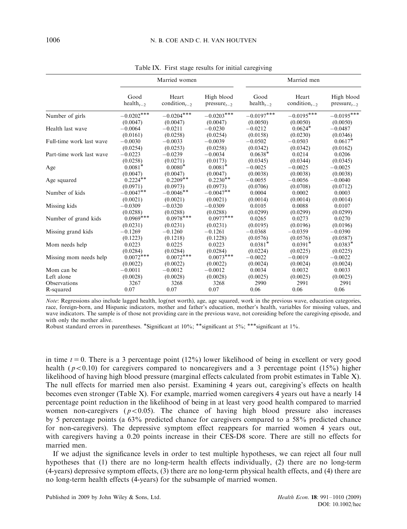|                          |                                            | Married women                                  |                                |                                            | Married men                                    |                                |
|--------------------------|--------------------------------------------|------------------------------------------------|--------------------------------|--------------------------------------------|------------------------------------------------|--------------------------------|
|                          | Good<br>health <sub><math>1-2</math></sub> | Heart<br>condition <sub><math>i-2</math></sub> | High blood<br>$pressure_{t-2}$ | Good<br>health <sub><math>i-2</math></sub> | Heart<br>condition <sub><math>i-2</math></sub> | High blood<br>$pressure_{t-2}$ |
| Number of girls          | $-0.0202***$                               | $-0.0204***$                                   | $-0.0203***$                   | $-0.0197***$                               | $-0.0195***$                                   | $-0.0195***$                   |
|                          | (0.0047)                                   | (0.0047)                                       | (0.0047)                       | (0.0050)                                   | (0.0050)                                       | (0.0050)                       |
| Health last wave         | $-0.0064$                                  | $-0.0211$                                      | $-0.0230$                      | $-0.0212$                                  | $0.0624*$                                      | $-0.0487$                      |
|                          | (0.0161)                                   | (0.0258)                                       | (0.0254)                       | (0.0158)                                   | (0.0230)                                       | (0.0346)                       |
| Full-time work last wave | $-0.0030$                                  | $-0.0033$                                      | $-0.0039$                      | $-0.0502$                                  | $-0.0503$                                      | $0.0617*$                      |
|                          | (0.0254)                                   | (0.0253)                                       | (0.0258)                       | (0.0342)                                   | (0.0342)                                       | (0.0162)                       |
| Part-time work last wave | $-0.0223$                                  | $-0.0239$                                      | $-0.0034$                      | $0.0638*$                                  | 0.0214                                         | 0.0206                         |
|                          | (0.0258)                                   | (0.0271)                                       | (0.0173)                       | (0.0345)                                   | (0.0344)                                       | (0.0345)                       |
| Age                      | $0.0081*$                                  | $0.0080*$                                      | $0.0081*$                      | $-0.0025$                                  | $-0.0025$                                      | $-0.0025$                      |
|                          | (0.0047)                                   | (0.0047)                                       | (0.0047)                       | (0.0038)                                   | (0.0038)                                       | (0.0038)                       |
| Age squared              | $0.2224**$                                 | $0.2209**$                                     | $0.2230**$                     | $-0.0055$                                  | $-0.0056$                                      | $-0.0040$                      |
|                          | (0.0971)                                   | (0.0973)                                       | (0.0973)                       | (0.0706)                                   | (0.0708)                                       | (0.0712)                       |
| Number of kids           | $-0.0047**$                                | $-0.0046**$                                    | $-0.0047**$                    | 0.0004                                     | 0.0002                                         | 0.0003                         |
|                          | (0.0021)                                   | (0.0021)                                       | (0.0021)                       | (0.0014)                                   | (0.0014)                                       | (0.0014)                       |
| Missing kids             | $-0.0309$                                  | $-0.0320$                                      | $-0.0309$                      | 0.0105                                     | 0.0088                                         | 0.0107                         |
|                          | (0.0288)                                   | (0.0288)                                       | (0.0288)                       | (0.0299)                                   | (0.0299)                                       | (0.0299)                       |
| Number of grand kids     | $0.0969***$                                | $0.0978***$                                    | $0.0977***$                    | 0.0265                                     | 0.0273                                         | 0.0270                         |
|                          | (0.0231)                                   | (0.0231)                                       | (0.0231)                       | (0.0195)                                   | (0.0196)                                       | (0.0196)                       |
| Missing grand kids       | $-0.1269$                                  | $-0.1260$                                      | $-0.1261$                      | $-0.0368$                                  | $-0.0359$                                      | $-0.0390$                      |
|                          | (0.1223)                                   | (0.1218)                                       | (0.1228)                       | (0.0576)                                   | (0.0576)                                       | (0.0587)                       |
| Mom needs help           | 0.0223                                     | 0.0225                                         | 0.0223                         | $0.0381*$                                  | $0.0391*$                                      | $0.0383*$                      |
|                          | (0.0284)                                   | (0.0284)                                       | (0.0284)                       | (0.0224)                                   | (0.0225)                                       | (0.0225)                       |
| Missing mom needs help   | $0.0072***$                                | $0.0072***$                                    | $0.0073***$                    | $-0.0022$                                  | $-0.0019$                                      | $-0.0022$                      |
|                          | (0.0022)                                   | (0.0022)                                       | (0.0022)                       | (0.0024)                                   | (0.0024)                                       | (0.0024)                       |
| Mom can be               | $-0.0011$                                  | $-0.0012$                                      | $-0.0012$                      | 0.0034                                     | 0.0032                                         | 0.0033                         |
| Left alone               | (0.0028)                                   | (0.0028)                                       | (0.0028)                       | (0.0025)                                   | (0.0025)                                       | (0.0025)                       |
| Observations             | 3267                                       | 3268                                           | 3268                           | 2990                                       | 2991                                           | 2991                           |
| R-squared                | 0.07                                       | 0.07                                           | 0.07                           | 0.06                                       | 0.06                                           | 0.06                           |

Table IX. First stage results for initial caregiving

Note: Regressions also include lagged health, log(net worth), age, age squared, work in the previous wave, education categories, race, foreign-born, and Hispanic indicators, mother and father's education, mother's health, variables for missing values, and wave indicators. The sample is of those not providing care in the previous wave, not coresiding before the caregiving episode, and with only the mother alive.

Robust standard errors in parentheses. \*Significant at 10%; \*\*significant at 5%; \*\*\*significant at 1%.

in time  $t = 0$ . There is a 3 percentage point (12%) lower likelihood of being in excellent or very good health ( $p < 0.10$ ) for caregivers compared to noncaregivers and a 3 percentage point (15%) higher likelihood of having high blood pressure (marginal effects calculated from probit estimates in Table X). The null effects for married men also persist. Examining 4 years out, caregiving's effects on health becomes even stronger (Table X). For example, married women caregivers 4 years out have a nearly 14 percentage point reduction in the likelihood of being in at least very good health compared to married women non-caregivers ( $p < 0.05$ ). The chance of having high blood pressure also increases by 5 percentage points (a 63% predicted chance for caregivers compared to a 58% predicted chance for non-caregivers). The depressive symptom effect reappears for married women 4 years out, with caregivers having a 0.20 points increase in their CES-D8 score. There are still no effects for married men.

If we adjust the significance levels in order to test multiple hypotheses, we can reject all four null hypotheses that (1) there are no long-term health effects individually, (2) there are no long-term (4-years) depressive symptom effects, (3) there are no long-term physical health effects, and (4) there are no long-term health effects (4-years) for the subsample of married women.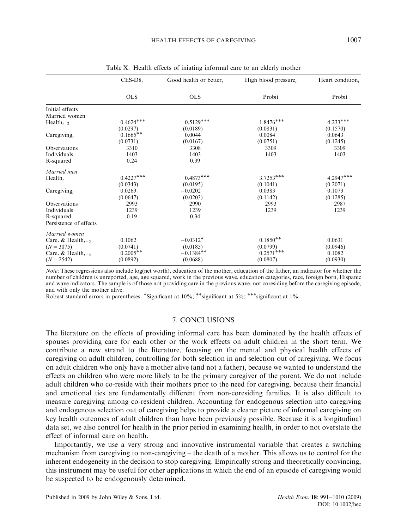| Heart condition, |
|------------------|
| Probit           |
|                  |
|                  |
| $4.233***$       |
| (0.1570)         |
| 0.0643           |
| (0.1245)         |
| 3309             |
| 1403             |
|                  |
|                  |
| $4.2947***$      |
| (0.2071)         |
| 0.1073           |
| (0.1285)         |
| 2987             |
| 1239             |
|                  |
|                  |
|                  |
| 0.0631           |
| (0.0946)         |
| 0.1082           |
| (0.0930)         |
|                  |

Table X. Health effects of iniating informal care to an elderly mother

Note: These regressions also include log(net worth), education of the mother, education of the father, an indicator for whether the number of children is unreported, age, age squared, work in the previous wave, education categories, race, foreign born, Hispanic and wave indicators. The sample is of those not providing care in the previous wave, not coresiding before the caregiving episode, and with only the mother alive.

Robust standard errors in parentheses. \*Significant at 10%; \*\*significant at 5%; \*\*\*significant at 1%.

### 7. CONCLUSIONS

The literature on the effects of providing informal care has been dominated by the health effects of spouses providing care for each other or the work effects on adult children in the short term. We contribute a new strand to the literature, focusing on the mental and physical health effects of caregiving on adult children, controlling for both selection in and selection out of caregiving. We focus on adult children who only have a mother alive (and not a father), because we wanted to understand the effects on children who were more likely to be the primary caregiver of the parent. We do not include adult children who co-reside with their mothers prior to the need for caregiving, because their financial and emotional ties are fundamentally different from non-coresiding families. It is also difficult to measure caregiving among co-resident children. Accounting for endogenous selection into caregiving and endogenous selection out of caregiving helps to provide a clearer picture of informal caregiving on key health outcomes of adult children than have been previously possible. Because it is a longitudinal data set, we also control for health in the prior period in examining health, in order to not overstate the effect of informal care on health.

Importantly, we use a very strong and innovative instrumental variable that creates a switching mechanism from caregiving to non-caregiving – the death of a mother. This allows us to control for the inherent endogeneity in the decision to stop caregiving. Empirically strong and theoretically convincing, this instrument may be useful for other applications in which the end of an episode of caregiving would be suspected to be endogenously determined.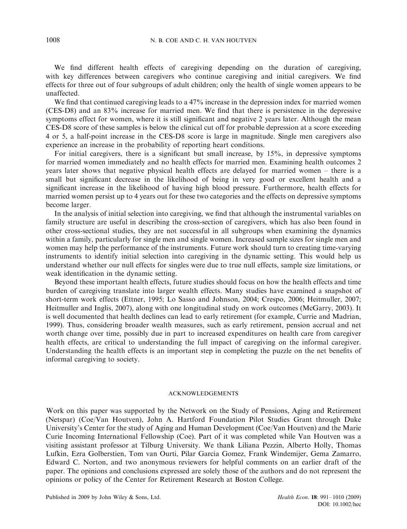We find different health effects of caregiving depending on the duration of caregiving, with key differences between caregivers who continue caregiving and initial caregivers. We find effects for three out of four subgroups of adult children; only the health of single women appears to be unaffected.

We find that continued caregiving leads to a 47% increase in the depression index for married women (CES-D8) and an 83% increase for married men. We find that there is persistence in the depressive symptoms effect for women, where it is still significant and negative 2 years later. Although the mean CES-D8 score of these samples is below the clinical cut off for probable depression at a score exceeding 4 or 5, a half-point increase in the CES-D8 score is large in magnitude. Single men caregivers also experience an increase in the probability of reporting heart conditions.

For initial caregivers, there is a significant but small increase, by 15%, in depressive symptoms for married women immediately and no health effects for married men. Examining health outcomes 2 years later shows that negative physical health effects are delayed for married women – there is a small but significant decrease in the likelihood of being in very good or excellent health and a significant increase in the likelihood of having high blood pressure. Furthermore, health effects for married women persist up to 4 years out for these two categories and the effects on depressive symptoms become larger.

In the analysis of initial selection into caregiving, we find that although the instrumental variables on family structure are useful in describing the cross-section of caregivers, which has also been found in other cross-sectional studies, they are not successful in all subgroups when examining the dynamics within a family, particularly for single men and single women. Increased sample sizes for single men and women may help the performance of the instruments. Future work should turn to creating time-varying instruments to identify initial selection into caregiving in the dynamic setting. This would help us understand whether our null effects for singles were due to true null effects, sample size limitations, or weak identification in the dynamic setting.

Beyond these important health effects, future studies should focus on how the health effects and time burden of caregiving translate into larger wealth effects. Many studies have examined a snapshot of short-term work effects (Ettner, 1995; Lo Sasso and Johnson, 2004; Crespo, 2006; Heitmuller, 2007; Heitmuller and Inglis, 2007), along with one longitudinal study on work outcomes (McGarry, 2003). It is well documented that health declines can lead to early retirement (for example, Currie and Madrian, 1999). Thus, considering broader wealth measures, such as early retirement, pension accrual and net worth change over time, possibly due in part to increased expenditures on health care from caregiver health effects, are critical to understanding the full impact of caregiving on the informal caregiver. Understanding the health effects is an important step in completing the puzzle on the net benefits of informal caregiving to society.

### ACKNOWLEDGEMENTS

Work on this paper was supported by the Network on the Study of Pensions, Aging and Retirement (Netspar) (Coe/Van Houtven), John A. Hartford Foundation Pilot Studies Grant through Duke University's Center for the study of Aging and Human Development (Coe/Van Houtven) and the Marie Curie Incoming International Fellowship (Coe). Part of it was completed while Van Houtven was a visiting assistant professor at Tilburg University. We thank Liliana Pezzin, Alberto Holly, Thomas Lufkin, Ezra Golberstien, Tom van Ourti, Pilar Garcia Gomez, Frank Windemijer, Gema Zamarro, Edward C. Norton, and two anonymous reviewers for helpful comments on an earlier draft of the paper. The opinions and conclusions expressed are solely those of the authors and do not represent the opinions or policy of the Center for Retirement Research at Boston College.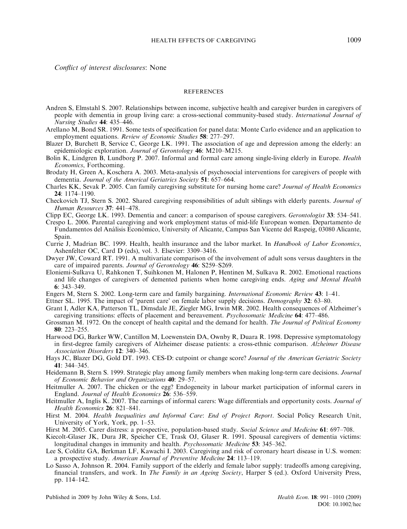Conflict of interest disclosures: None

#### **REFERENCES**

- Andren S, Elmstahl S. 2007. Relationships between income, subjective health and caregiver burden in caregivers of people with dementia in group living care: a cross-sectional community-based study. International Journal of Nursing Studies 44: 435–446.
- Arellano M, Bond SR. 1991. Some tests of specification for panel data: Monte Carlo evidence and an application to employment equations. Review of Economic Studies 58: 277–297.
- Blazer D, Burchett B, Service C, George LK. 1991. The association of age and depression among the elderly: an epidemiologic exploration. Journal of Gerontology 46: M210-M215.
- Bolin K, Lindgren B, Lundborg P. 2007. Informal and formal care among single-living elderly in Europe. *Health* Economics, Forthcoming.
- Brodaty H, Green A, Koschera A. 2003. Meta-analysis of psychosocial interventions for caregivers of people with dementia. Journal of the Americal Geriatrics Society 51: 657–664.
- Charles KK, Sevak P. 2005. Can family caregiving substitute for nursing home care? Journal of Health Economics 24: 1174–1190.
- Checkovich TJ, Stern S. 2002. Shared caregiving responsibilities of adult siblings with elderly parents. Journal of Human Resources 37: 441–478.
- Clipp EC, George LK. 1993. Dementia and cancer: a comparison of spouse caregivers. *Gerontologist* 33: 534–541.
- Crespo L. 2006. Parental caregiving and work employment status of mid-life European women. Departamento de Fundamentos del Análisis Económico, University of Alicante, Campus San Vicente del Raspeig, 03080 Alicante, Spain.
- Currie J, Madrian BC. 1999. Health, health insurance and the labor market. In Handbook of Labor Economics, Ashenfelter OC, Card D (eds), vol. 3. Elsevier: 3309–3416.
- Dwyer JW, Coward RT. 1991. A multivariate comparison of the involvement of adult sons versus daughters in the care of impaired parents. Journal of Gerontology 46: S259-S269.
- Eloniemi-Sulkava U, Rahkonen T, Suihkonen M, Halonen P, Hentinen M, Sulkava R. 2002. Emotional reactions and life changes of caregivers of demented patients when home caregiving ends. Aging and Mental Health 6: 343–349.
- Engers M, Stern S. 2002. Long-term care and family bargaining. International Economic Review 43: 1-41.
- Ettner SL. 1995. The impact of 'parent care' on female labor supply decisions. *Demography* 32: 63–80.
- Grant I, Adler KA, Patterson TL, Dimsdale JE, Ziegler MG, Irwin MR. 2002. Health consequences of Alzheimer's caregiving transitions: effects of placement and bereavement. *Psychosomatic Medicine* 64: 477–486.
- Grossman M. 1972. On the concept of health capital and the demand for health. The Journal of Political Economy 80: 223–255.
- Harwood DG, Barker WW, Cantillon M, Loewenstein DA, Ownby R, Duara R. 1998. Depressive symptomatology in first-degree family caregivers of Alzheimer disease patients: a cross-ethnic comparison. Alzheimer Disease Association Disorders 12: 340–346.
- Hays JC, Blazer DG, Gold DT. 1993. CES-D: cutpoint or change score? Journal of the American Geriatric Society 41: 344–345.
- Heidemann B, Stern S. 1999. Strategic play among family members when making long-term care decisions. Journal of Economic Behavior and Organizations 40: 29–57.
- Heitmuller A. 2007. The chicken or the egg? Endogeneity in labour market participation of informal carers in England. Journal of Health Economics 26: 536–559.
- Heitmuller A, Inglis K. 2007. The earnings of informal carers: Wage differentials and opportunity costs. *Journal of* Health Economics 26: 821–841.
- Hirst M. 2004. Health Inequalities and Informal Care: End of Project Report. Social Policy Research Unit, University of York, York, pp. 1–53.
- Hirst M. 2005. Carer distress: a prospective, population-based study. Social Science and Medicine 61: 697-708.
- Kiecolt-Glaser JK, Dura JR, Speicher CE, Trask OJ, Glaser R. 1991. Spousal caregivers of dementia victims: longitudinal changes in immunity and health. *Psychosomatic Medicine* 53: 345–362.
- Lee S, Colditz GA, Berkman LF, Kawachi I. 2003. Caregiving and risk of coronary heart disease in U.S. women: a prospective study. American Journal of Preventive Medicine 24: 113–119.
- Lo Sasso A, Johnson R. 2004. Family support of the elderly and female labor supply: tradeoffs among caregiving, financial transfers, and work. In The Family in an Ageing Society, Harper S (ed.). Oxford University Press, pp. 114–142.